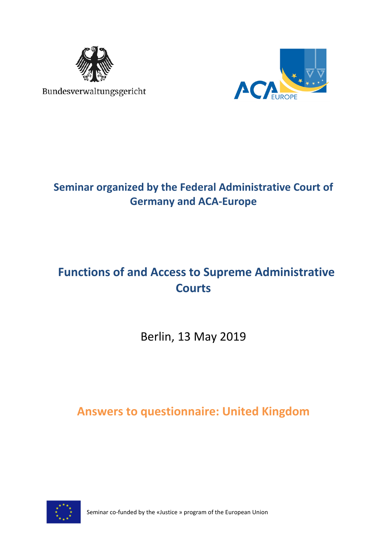

Bundesverwaltungsgericht



## **Seminar organized by the Federal Administrative Court of Germany and ACA-Europe**

# **Functions of and Access to Supreme Administrative Courts**

Berlin, 13 May 2019

**Answers to questionnaire: United Kingdom**



Seminar co-funded by the «Justice » program of the European Union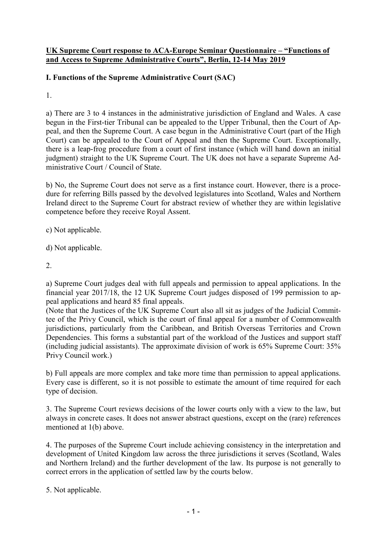#### **UK Supreme Court response to ACA-Europe Seminar Questionnaire – "Functions of and Access to Supreme Administrative Courts", Berlin, 12-14 May 2019**

#### **I. Functions of the Supreme Administrative Court (SAC)**

1.

a) There are 3 to 4 instances in the administrative jurisdiction of England and Wales. A case begun in the First-tier Tribunal can be appealed to the Upper Tribunal, then the Court of Appeal, and then the Supreme Court. A case begun in the Administrative Court (part of the High Court) can be appealed to the Court of Appeal and then the Supreme Court. Exceptionally, there is a leap-frog procedure from a court of first instance (which will hand down an initial judgment) straight to the UK Supreme Court. The UK does not have a separate Supreme Administrative Court / Council of State.

b) No, the Supreme Court does not serve as a first instance court. However, there is a procedure for referring Bills passed by the devolved legislatures into Scotland, Wales and Northern Ireland direct to the Supreme Court for abstract review of whether they are within legislative competence before they receive Royal Assent.

- c) Not applicable.
- d) Not applicable.
- 2.

a) Supreme Court judges deal with full appeals and permission to appeal applications. In the financial year 2017/18, the 12 UK Supreme Court judges disposed of 199 permission to appeal applications and heard 85 final appeals.

(Note that the Justices of the UK Supreme Court also all sit as judges of the Judicial Committee of the Privy Council, which is the court of final appeal for a number of Commonwealth jurisdictions, particularly from the Caribbean, and British Overseas Territories and Crown Dependencies. This forms a substantial part of the workload of the Justices and support staff (including judicial assistants). The approximate division of work is 65% Supreme Court: 35% Privy Council work.)

b) Full appeals are more complex and take more time than permission to appeal applications. Every case is different, so it is not possible to estimate the amount of time required for each type of decision.

3. The Supreme Court reviews decisions of the lower courts only with a view to the law, but always in concrete cases. It does not answer abstract questions, except on the (rare) references mentioned at 1(b) above.

4. The purposes of the Supreme Court include achieving consistency in the interpretation and development of United Kingdom law across the three jurisdictions it serves (Scotland, Wales and Northern Ireland) and the further development of the law. Its purpose is not generally to correct errors in the application of settled law by the courts below.

5. Not applicable.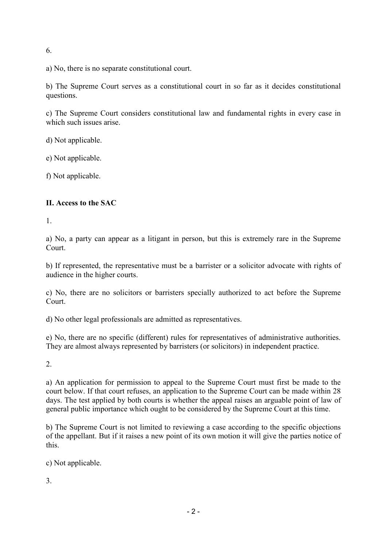6.

a) No, there is no separate constitutional court.

b) The Supreme Court serves as a constitutional court in so far as it decides constitutional questions.

c) The Supreme Court considers constitutional law and fundamental rights in every case in which such issues arise.

d) Not applicable.

e) Not applicable.

f) Not applicable.

#### **II. Access to the SAC**

1.

a) No, a party can appear as a litigant in person, but this is extremely rare in the Supreme Court.

b) If represented, the representative must be a barrister or a solicitor advocate with rights of audience in the higher courts.

c) No, there are no solicitors or barristers specially authorized to act before the Supreme Court.

d) No other legal professionals are admitted as representatives.

e) No, there are no specific (different) rules for representatives of administrative authorities. They are almost always represented by barristers (or solicitors) in independent practice.

2.

a) An application for permission to appeal to the Supreme Court must first be made to the court below. If that court refuses, an application to the Supreme Court can be made within 28 days. The test applied by both courts is whether the appeal raises an arguable point of law of general public importance which ought to be considered by the Supreme Court at this time.

b) The Supreme Court is not limited to reviewing a case according to the specific objections of the appellant. But if it raises a new point of its own motion it will give the parties notice of this.

c) Not applicable.

3.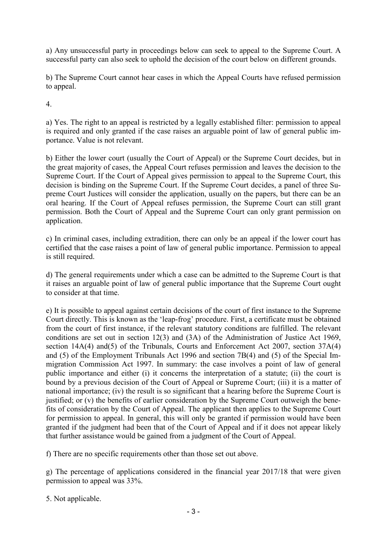a) Any unsuccessful party in proceedings below can seek to appeal to the Supreme Court. A successful party can also seek to uphold the decision of the court below on different grounds.

b) The Supreme Court cannot hear cases in which the Appeal Courts have refused permission to appeal.

4.

a) Yes. The right to an appeal is restricted by a legally established filter: permission to appeal is required and only granted if the case raises an arguable point of law of general public importance. Value is not relevant.

b) Either the lower court (usually the Court of Appeal) or the Supreme Court decides, but in the great majority of cases, the Appeal Court refuses permission and leaves the decision to the Supreme Court. If the Court of Appeal gives permission to appeal to the Supreme Court, this decision is binding on the Supreme Court. If the Supreme Court decides, a panel of three Supreme Court Justices will consider the application, usually on the papers, but there can be an oral hearing. If the Court of Appeal refuses permission, the Supreme Court can still grant permission. Both the Court of Appeal and the Supreme Court can only grant permission on application.

c) In criminal cases, including extradition, there can only be an appeal if the lower court has certified that the case raises a point of law of general public importance. Permission to appeal is still required.

d) The general requirements under which a case can be admitted to the Supreme Court is that it raises an arguable point of law of general public importance that the Supreme Court ought to consider at that time.

e) It is possible to appeal against certain decisions of the court of first instance to the Supreme Court directly. This is known as the 'leap-frog' procedure. First, a certificate must be obtained from the court of first instance, if the relevant statutory conditions are fulfilled. The relevant conditions are set out in section 12(3) and (3A) of the Administration of Justice Act 1969, section 14A(4) and(5) of the Tribunals, Courts and Enforcement Act 2007, section 37A(4) and (5) of the Employment Tribunals Act 1996 and section 7B(4) and (5) of the Special Immigration Commission Act 1997. In summary: the case involves a point of law of general public importance and either (i) it concerns the interpretation of a statute; (ii) the court is bound by a previous decision of the Court of Appeal or Supreme Court; (iii) it is a matter of national importance; (iv) the result is so significant that a hearing before the Supreme Court is justified; or (v) the benefits of earlier consideration by the Supreme Court outweigh the benefits of consideration by the Court of Appeal. The applicant then applies to the Supreme Court for permission to appeal. In general, this will only be granted if permission would have been granted if the judgment had been that of the Court of Appeal and if it does not appear likely that further assistance would be gained from a judgment of the Court of Appeal.

f) There are no specific requirements other than those set out above.

g) The percentage of applications considered in the financial year 2017/18 that were given permission to appeal was 33%.

5. Not applicable.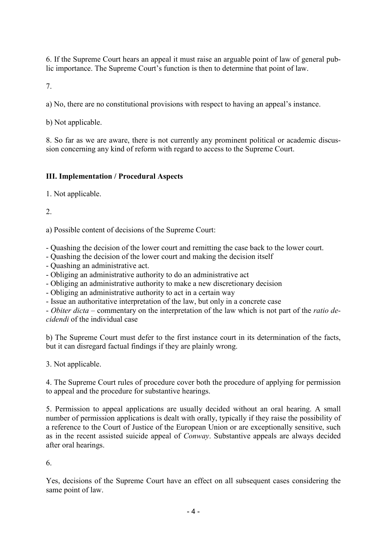6. If the Supreme Court hears an appeal it must raise an arguable point of law of general public importance. The Supreme Court's function is then to determine that point of law.

7.

a) No, there are no constitutional provisions with respect to having an appeal's instance.

b) Not applicable.

8. So far as we are aware, there is not currently any prominent political or academic discussion concerning any kind of reform with regard to access to the Supreme Court.

### **III. Implementation / Procedural Aspects**

1. Not applicable.

2.

a) Possible content of decisions of the Supreme Court:

- Quashing the decision of the lower court and remitting the case back to the lower court.
- Quashing the decision of the lower court and making the decision itself
- Quashing an administrative act.
- Obliging an administrative authority to do an administrative act
- Obliging an administrative authority to make a new discretionary decision
- Obliging an administrative authority to act in a certain way
- Issue an authoritative interpretation of the law, but only in a concrete case

- *Obiter dicta* – commentary on the interpretation of the law which is not part of the *ratio decidendi* of the individual case

b) The Supreme Court must defer to the first instance court in its determination of the facts, but it can disregard factual findings if they are plainly wrong.

3. Not applicable.

4. The Supreme Court rules of procedure cover both the procedure of applying for permission to appeal and the procedure for substantive hearings.

5. Permission to appeal applications are usually decided without an oral hearing. A small number of permission applications is dealt with orally, typically if they raise the possibility of a reference to the Court of Justice of the European Union or are exceptionally sensitive, such as in the recent assisted suicide appeal of *Conway*. Substantive appeals are always decided after oral hearings.

6.

Yes, decisions of the Supreme Court have an effect on all subsequent cases considering the same point of law.